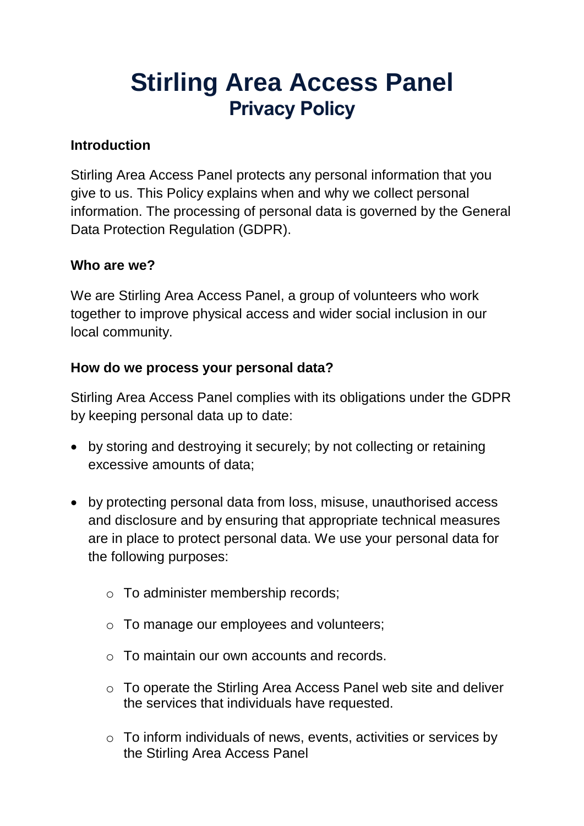# **Stirling Area Access Panel Privacy Policy**

#### **Introduction**

Stirling Area Access Panel protects any personal information that you give to us. This Policy explains when and why we collect personal information. The processing of personal data is governed by the General Data Protection Regulation (GDPR).

#### **Who are we?**

We are Stirling Area Access Panel, a group of volunteers who work together to improve physical access and wider social inclusion in our local community.

#### **How do we process your personal data?**

Stirling Area Access Panel complies with its obligations under the GDPR by keeping personal data up to date:

- by storing and destroying it securely; by not collecting or retaining excessive amounts of data;
- by protecting personal data from loss, misuse, unauthorised access and disclosure and by ensuring that appropriate technical measures are in place to protect personal data. We use your personal data for the following purposes:
	- o To administer membership records;
	- o To manage our employees and volunteers;
	- $\circ$  To maintain our own accounts and records.
	- o To operate the Stirling Area Access Panel web site and deliver the services that individuals have requested.
	- $\circ$  To inform individuals of news, events, activities or services by the Stirling Area Access Panel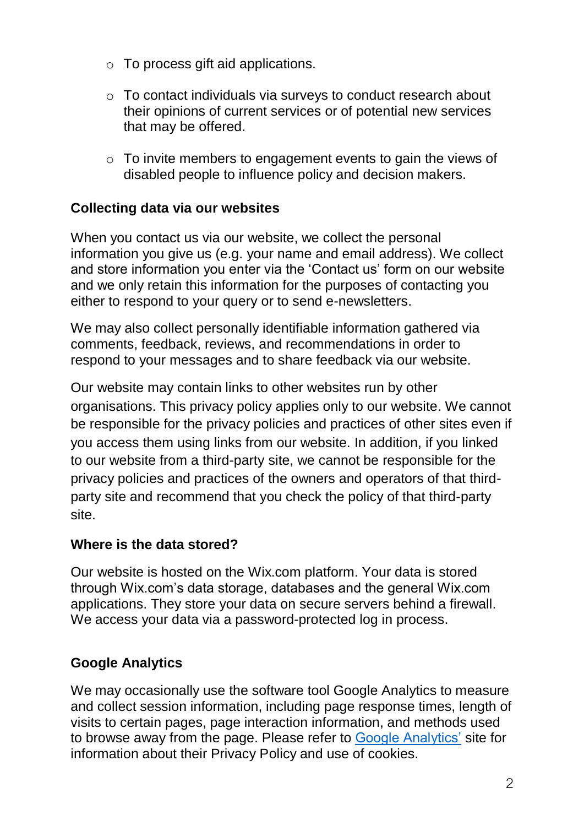- $\circ$  To process gift aid applications.
- o To contact individuals via surveys to conduct research about their opinions of current services or of potential new services that may be offered.
- $\circ$  To invite members to engagement events to gain the views of disabled people to influence policy and decision makers.

## **Collecting data via our websites**

When you contact us via our website, we collect the personal information you give us (e.g. your name and email address). We collect and store information you enter via the 'Contact us' form on our website and we only retain this information for the purposes of contacting you either to respond to your query or to send e-newsletters.

We may also collect personally identifiable information gathered via comments, feedback, reviews, and recommendations in order to respond to your messages and to share feedback via our website.

Our website may contain links to other websites run by other organisations. This privacy policy applies only to our website. We cannot be responsible for the privacy policies and practices of other sites even if you access them using links from our website. In addition, if you linked to our website from a third-party site, we cannot be responsible for the privacy policies and practices of the owners and operators of that thirdparty site and recommend that you check the policy of that third-party site.

#### **Where is the data stored?**

Our website is hosted on the Wix.com platform. Your data is stored through Wix.com's data storage, databases and the general Wix.com applications. They store your data on secure servers behind a firewall. We access your data via a password-protected log in process.

## **Google Analytics**

We may occasionally use the software tool Google Analytics to measure and collect session information, including page response times, length of visits to certain pages, page interaction information, and methods used to browse away from the page. Please refer to [Google Analytics'](https://support.google.com/analytics/answer/6004245?hl=en) site for information about their Privacy Policy and use of cookies.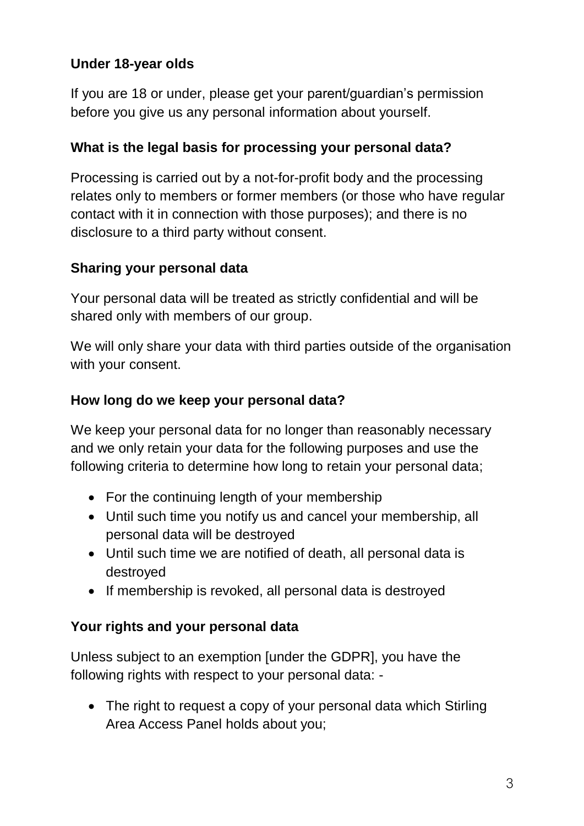# **Under 18-year olds**

If you are 18 or under, please get your parent/guardian's permission before you give us any personal information about yourself.

## **What is the legal basis for processing your personal data?**

Processing is carried out by a not-for-profit body and the processing relates only to members or former members (or those who have regular contact with it in connection with those purposes); and there is no disclosure to a third party without consent.

## **Sharing your personal data**

Your personal data will be treated as strictly confidential and will be shared only with members of our group.

We will only share your data with third parties outside of the organisation with your consent.

## **How long do we keep your personal data?**

We keep your personal data for no longer than reasonably necessary and we only retain your data for the following purposes and use the following criteria to determine how long to retain your personal data;

- For the continuing length of your membership
- Until such time you notify us and cancel your membership, all personal data will be destroyed
- Until such time we are notified of death, all personal data is destroyed
- If membership is revoked, all personal data is destroyed

## **Your rights and your personal data**

Unless subject to an exemption [under the GDPR], you have the following rights with respect to your personal data: -

• The right to request a copy of your personal data which Stirling Area Access Panel holds about you;